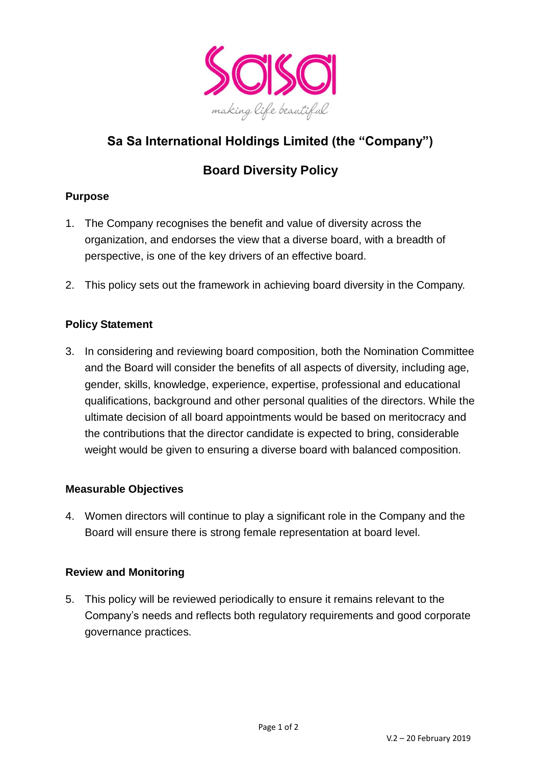

## **Sa Sa International Holdings Limited (the "Company")**

# **Board Diversity Policy**

#### **Purpose**

- 1. The Company recognises the benefit and value of diversity across the organization, and endorses the view that a diverse board, with a breadth of perspective, is one of the key drivers of an effective board.
- 2. This policy sets out the framework in achieving board diversity in the Company.

#### **Policy Statement**

3. In considering and reviewing board composition, both the Nomination Committee and the Board will consider the benefits of all aspects of diversity, including age, gender, skills, knowledge, experience, expertise, professional and educational qualifications, background and other personal qualities of the directors. While the ultimate decision of all board appointments would be based on meritocracy and the contributions that the director candidate is expected to bring, considerable weight would be given to ensuring a diverse board with balanced composition.

#### **Measurable Objectives**

4. Women directors will continue to play a significant role in the Company and the Board will ensure there is strong female representation at board level.

#### **Review and Monitoring**

5. This policy will be reviewed periodically to ensure it remains relevant to the Company's needs and reflects both regulatory requirements and good corporate governance practices.